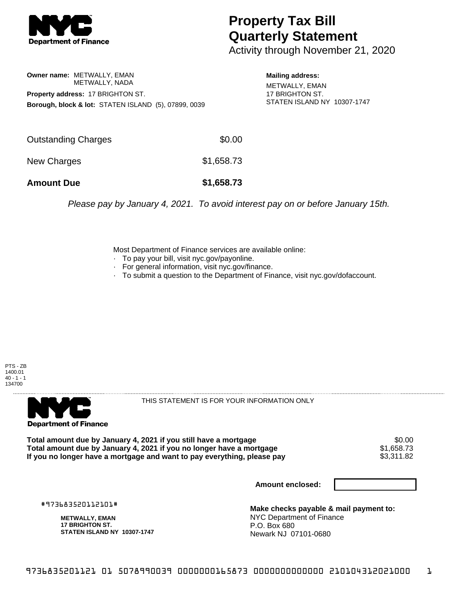

## **Property Tax Bill Quarterly Statement**

Activity through November 21, 2020

**Owner name:** METWALLY, EMAN METWALLY, NADA **Property address:** 17 BRIGHTON ST. **Borough, block & lot:** STATEN ISLAND (5), 07899, 0039

**Mailing address:**

METWALLY, EMAN 17 BRIGHTON ST. STATEN ISLAND NY 10307-1747

| <b>Amount Due</b>   | \$1,658.73 |
|---------------------|------------|
| New Charges         | \$1,658.73 |
| Outstanding Charges | \$0.00     |

Please pay by January 4, 2021. To avoid interest pay on or before January 15th.

Most Department of Finance services are available online:

- · To pay your bill, visit nyc.gov/payonline.
- For general information, visit nyc.gov/finance.
- · To submit a question to the Department of Finance, visit nyc.gov/dofaccount.





THIS STATEMENT IS FOR YOUR INFORMATION ONLY

Total amount due by January 4, 2021 if you still have a mortgage \$0.00<br>Total amount due by January 4, 2021 if you no longer have a mortgage \$1.658.73 **Total amount due by January 4, 2021 if you no longer have a mortgage**  $$1,658.73$ **<br>If you no longer have a mortgage and want to pay everything, please pay <b>show that have a** \$3,311.82 If you no longer have a mortgage and want to pay everything, please pay

**Amount enclosed:**

#973683520112101#

**METWALLY, EMAN 17 BRIGHTON ST. STATEN ISLAND NY 10307-1747**

**Make checks payable & mail payment to:** NYC Department of Finance P.O. Box 680 Newark NJ 07101-0680